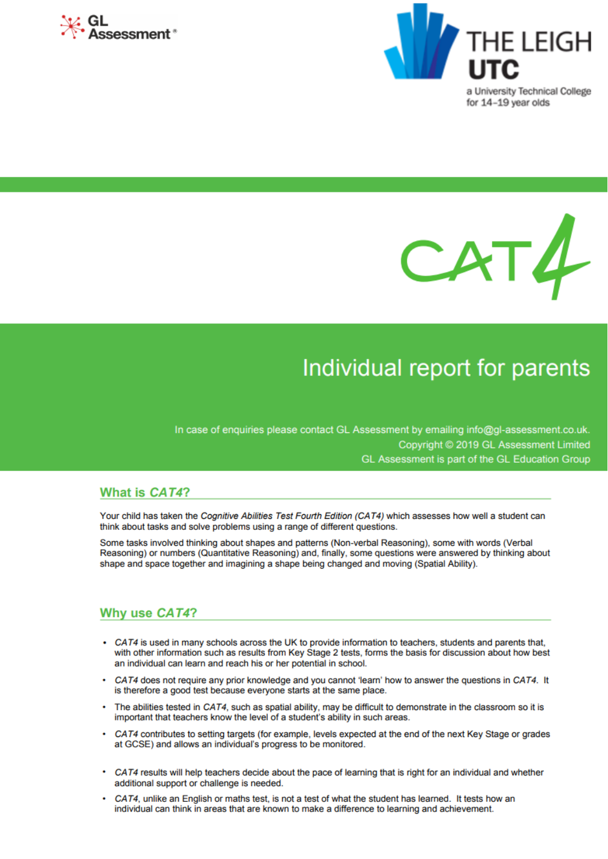



for 14-19 year olds



# Individual report for parents

In case of enquiries please contact GL Assessment by emailing info@gl-assessment.co.uk. Copyright © 2019 GL Assessment Limited GL Assessment is part of the GL Education Group

### What is CAT4?

Your child has taken the Cognitive Abilities Test Fourth Edition (CAT4) which assesses how well a student can think about tasks and solve problems using a range of different questions.

Some tasks involved thinking about shapes and patterns (Non-verbal Reasoning), some with words (Verbal Reasoning) or numbers (Quantitative Reasoning) and, finally, some questions were answered by thinking about shape and space together and imagining a shape being changed and moving (Spatial Ability).

# Why use CAT4?

- CAT4 is used in many schools across the UK to provide information to teachers, students and parents that, with other information such as results from Key Stage 2 tests, forms the basis for discussion about how best an individual can learn and reach his or her potential in school.
- CAT4 does not require any prior knowledge and you cannot 'learn' how to answer the questions in CAT4. It is therefore a good test because everyone starts at the same place.
- The abilities tested in CAT4, such as spatial ability, may be difficult to demonstrate in the classroom so it is important that teachers know the level of a student's ability in such areas.
- $\bullet$ CAT4 contributes to setting targets (for example, levels expected at the end of the next Key Stage or grades at GCSE) and allows an individual's progress to be monitored.
- CAT4 results will help teachers decide about the pace of learning that is right for an individual and whether additional support or challenge is needed.
- CAT4, unlike an English or maths test, is not a test of what the student has learned. It tests how an individual can think in areas that are known to make a difference to learning and achievement.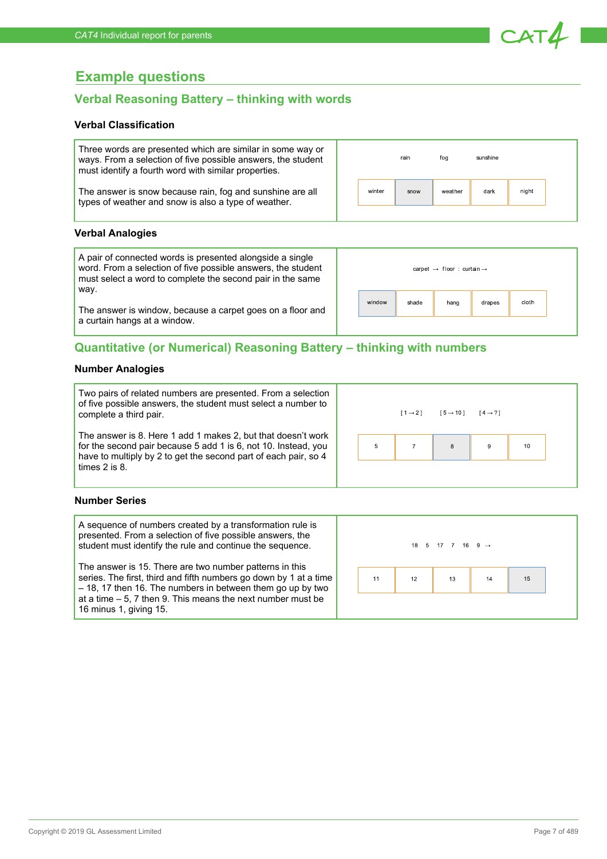# **Example questions**

# **Verbal Reasoning Battery – thinking with words**

#### **Verbal Classification**

| Three words are presented which are similar in some way or<br>ways. From a selection of five possible answers, the student<br>must identify a fourth word with similar properties. |        | rain | foa     | sunshine |       |
|------------------------------------------------------------------------------------------------------------------------------------------------------------------------------------|--------|------|---------|----------|-------|
| The answer is snow because rain, fog and sunshine are all<br>types of weather and snow is also a type of weather.                                                                  | winter | snow | weather | dark     | night |

window

**shade** 

#### **Verbal Analogies**

A pair of connected words is presented alongside a single word. From a selection of five possible answers, the student must select a word to complete the second pair in the same way.

The answer is window, because a carpet goes on a floor and a curtain hangs at a window.

## **Quantitative (or Numerical) Reasoning Battery – thinking with numbers**

#### **Number Analogies**

Two pairs of related numbers are presented. From a selection of five possible answers, the student must select a number to complete a third pair.

The answer is 8. Here 1 add 1 makes 2, but that doesn't work for the second pair because 5 add 1 is 6, not 10. Instead, you have to multiply by 2 to get the second part of each pair, so 4 times 2 is 8.



carpet  $\rightarrow$  floor : curtain  $\rightarrow$ 

hang

drapes

 $CAT4$ 

 $clath$ 

#### **Number Series**

| A sequence of numbers created by a transformation rule is<br>presented. From a selection of five possible answers, the<br>student must identify the rule and continue the sequence.                                                                                                     |    |    | $18$ 5 17 7 16 9 $\rightarrow$ |    |    |  |
|-----------------------------------------------------------------------------------------------------------------------------------------------------------------------------------------------------------------------------------------------------------------------------------------|----|----|--------------------------------|----|----|--|
| The answer is 15. There are two number patterns in this<br>series. The first, third and fifth numbers go down by 1 at a time<br>$-18$ , 17 then 16. The numbers in between them go up by two<br>at a time $-5$ , 7 then 9. This means the next number must be<br>16 minus 1, giving 15. | 11 | 12 | 13                             | 14 | 15 |  |
|                                                                                                                                                                                                                                                                                         |    |    |                                |    |    |  |